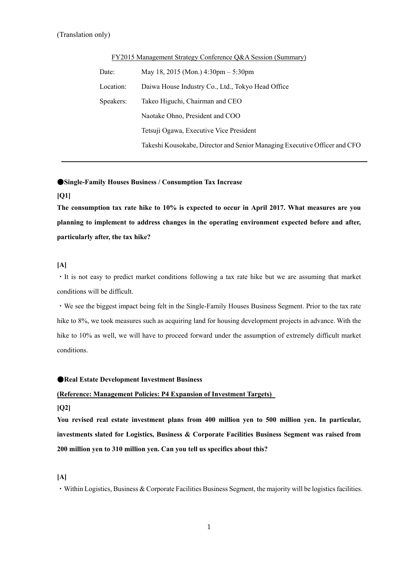| Date:     | May 18, 2015 (Mon.) $4:30 \text{pm} - 5:30 \text{pm}$                     |
|-----------|---------------------------------------------------------------------------|
| Location: | Daiwa House Industry Co., Ltd., Tokyo Head Office                         |
| Speakers: | Takeo Higuchi, Chairman and CEO                                           |
|           | Naotake Ohno, President and COO                                           |
|           | Tetsuji Ogawa, Executive Vice President                                   |
|           | Takeshi Kousokabe, Director and Senior Managing Executive Officer and CFO |
|           |                                                                           |

FY2015 Management Strategy Conference Q&A Session (Summary)

## ●**Single-Family Houses Business / Consumption Tax Increase**

#### **[Q1]**

**The consumption tax rate hike to 10% is expected to occur in April 2017. What measures are you planning to implement to address changes in the operating environment expected before and after, particularly after, the tax hike?** 

### **[A]**

・It is not easy to predict market conditions following a tax rate hike but we are assuming that market conditions will be difficult.

・We see the biggest impact being felt in the Single-Family Houses Business Segment. Prior to the tax rate hike to 8%, we took measures such as acquiring land for housing development projects in advance. With the hike to 10% as well, we will have to proceed forward under the assumption of extremely difficult market conditions.

#### ●**Real Estate Development Investment Business**

#### **(Reference: Management Policies: P4 Expansion of Investment Targets)**

#### **[Q2]**

**You revised real estate investment plans from 400 million yen to 500 million yen. In particular, investments slated for Logistics, Business & Corporate Facilities Business Segment was raised from 200 million yen to 310 million yen. Can you tell us specifics about this?** 

#### **[A]**

・Within Logistics, Business & Corporate Facilities Business Segment, the majority will be logistics facilities.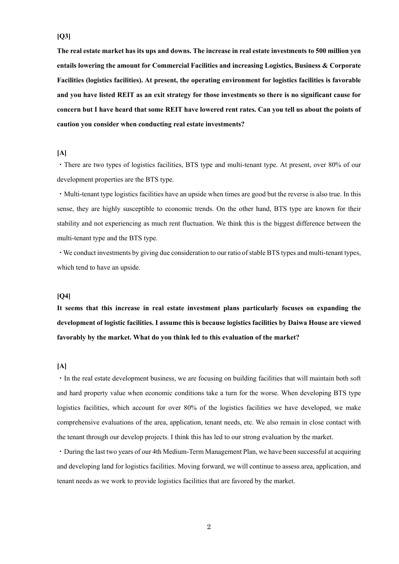#### **[Q3]**

**The real estate market has its ups and downs. The increase in real estate investments to 500 million yen entails lowering the amount for Commercial Facilities and increasing Logistics, Business & Corporate Facilities (logistics facilities). At present, the operating environment for logistics facilities is favorable and you have listed REIT as an exit strategy for those investments so there is no significant cause for concern but I have heard that some REIT have lowered rent rates. Can you tell us about the points of caution you consider when conducting real estate investments?** 

### **[A]**

・There are two types of logistics facilities, BTS type and multi-tenant type. At present, over 80% of our development properties are the BTS type.

・Multi-tenant type logistics facilities have an upside when times are good but the reverse is also true. In this sense, they are highly susceptible to economic trends. On the other hand, BTS type are known for their stability and not experiencing as much rent fluctuation. We think this is the biggest difference between the multi-tenant type and the BTS type.

・We conduct investments by giving due consideration to our ratio of stable BTS types and multi-tenant types, which tend to have an upside.

## **[Q4]**

**It seems that this increase in real estate investment plans particularly focuses on expanding the development of logistic facilities. I assume this is because logistics facilities by Daiwa House are viewed favorably by the market. What do you think led to this evaluation of the market?** 

#### **[A]**

・In the real estate development business, we are focusing on building facilities that will maintain both soft and hard property value when economic conditions take a turn for the worse. When developing BTS type logistics facilities, which account for over 80% of the logistics facilities we have developed, we make comprehensive evaluations of the area, application, tenant needs, etc. We also remain in close contact with the tenant through our develop projects. I think this has led to our strong evaluation by the market.

・During the last two years of our 4th Medium-Term Management Plan, we have been successful at acquiring and developing land for logistics facilities. Moving forward, we will continue to assess area, application, and tenant needs as we work to provide logistics facilities that are favored by the market.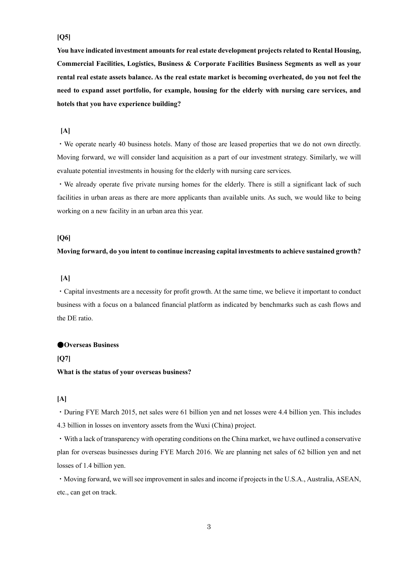## **[Q5]**

**You have indicated investment amounts for real estate development projects related to Rental Housing, Commercial Facilities, Logistics, Business & Corporate Facilities Business Segments as well as your rental real estate assets balance. As the real estate market is becoming overheated, do you not feel the need to expand asset portfolio, for example, housing for the elderly with nursing care services, and hotels that you have experience building?** 

## **[A]**

・We operate nearly 40 business hotels. Many of those are leased properties that we do not own directly. Moving forward, we will consider land acquisition as a part of our investment strategy. Similarly, we will evaluate potential investments in housing for the elderly with nursing care services.

・We already operate five private nursing homes for the elderly. There is still a significant lack of such facilities in urban areas as there are more applicants than available units. As such, we would like to being working on a new facility in an urban area this year.

## **[Q6]**

#### **Moving forward, do you intent to continue increasing capital investments to achieve sustained growth?**

## **[A]**

・Capital investments are a necessity for profit growth. At the same time, we believe it important to conduct business with a focus on a balanced financial platform as indicated by benchmarks such as cash flows and the DE ratio.

#### ●**Overseas Business**

#### **[Q7]**

### **What is the status of your overseas business?**

## **[A]**

・During FYE March 2015, net sales were 61 billion yen and net losses were 4.4 billion yen. This includes 4.3 billion in losses on inventory assets from the Wuxi (China) project.

・With a lack of transparency with operating conditions on the China market, we have outlined a conservative plan for overseas businesses during FYE March 2016. We are planning net sales of 62 billion yen and net losses of 1.4 billion yen.

・Moving forward, we will see improvement in sales and income if projects in the U.S.A., Australia, ASEAN, etc., can get on track.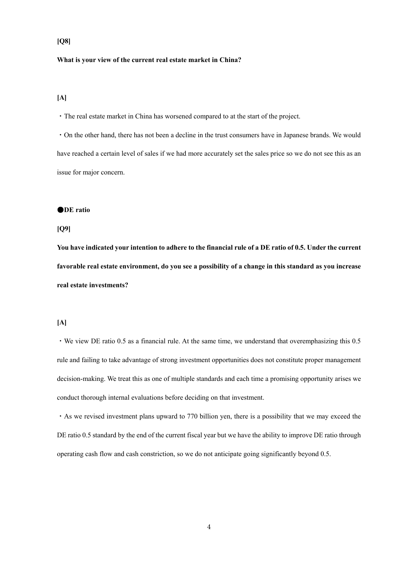# **[Q8]**

#### **What is your view of the current real estate market in China?**

## **[A]**

・The real estate market in China has worsened compared to at the start of the project.

・On the other hand, there has not been a decline in the trust consumers have in Japanese brands. We would have reached a certain level of sales if we had more accurately set the sales price so we do not see this as an issue for major concern.

#### ●**DE ratio**

### **[Q9]**

**You have indicated your intention to adhere to the financial rule of a DE ratio of 0.5. Under the current favorable real estate environment, do you see a possibility of a change in this standard as you increase real estate investments?** 

## **[A]**

・We view DE ratio 0.5 as a financial rule. At the same time, we understand that overemphasizing this 0.5 rule and failing to take advantage of strong investment opportunities does not constitute proper management decision-making. We treat this as one of multiple standards and each time a promising opportunity arises we conduct thorough internal evaluations before deciding on that investment.

・As we revised investment plans upward to 770 billion yen, there is a possibility that we may exceed the DE ratio 0.5 standard by the end of the current fiscal year but we have the ability to improve DE ratio through operating cash flow and cash constriction, so we do not anticipate going significantly beyond 0.5.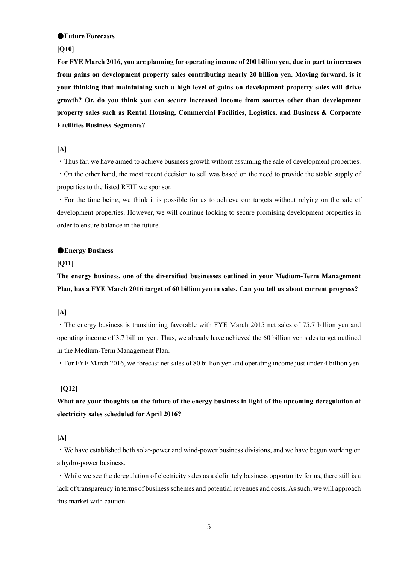#### ●**Future Forecasts**

### **[Q10]**

**For FYE March 2016, you are planning for operating income of 200 billion yen, due in part to increases from gains on development property sales contributing nearly 20 billion yen. Moving forward, is it your thinking that maintaining such a high level of gains on development property sales will drive growth? Or, do you think you can secure increased income from sources other than development property sales such as Rental Housing, Commercial Facilities, Logistics, and Business & Corporate Facilities Business Segments?** 

### **[A]**

・Thus far, we have aimed to achieve business growth without assuming the sale of development properties.

・On the other hand, the most recent decision to sell was based on the need to provide the stable supply of properties to the listed REIT we sponsor.

・For the time being, we think it is possible for us to achieve our targets without relying on the sale of development properties. However, we will continue looking to secure promising development properties in order to ensure balance in the future.

### ●**Energy Business**

#### **[Q11]**

**The energy business, one of the diversified businesses outlined in your Medium-Term Management Plan, has a FYE March 2016 target of 60 billion yen in sales. Can you tell us about current progress?** 

### **[A]**

・The energy business is transitioning favorable with FYE March 2015 net sales of 75.7 billion yen and operating income of 3.7 billion yen. Thus, we already have achieved the 60 billion yen sales target outlined in the Medium-Term Management Plan.

・For FYE March 2016, we forecast net sales of 80 billion yen and operating income just under 4 billion yen.

### **[Q12]**

**What are your thoughts on the future of the energy business in light of the upcoming deregulation of electricity sales scheduled for April 2016?** 

## **[A]**

・We have established both solar-power and wind-power business divisions, and we have begun working on a hydro-power business.

・While we see the deregulation of electricity sales as a definitely business opportunity for us, there still is a lack of transparency in terms of business schemes and potential revenues and costs. As such, we will approach this market with caution.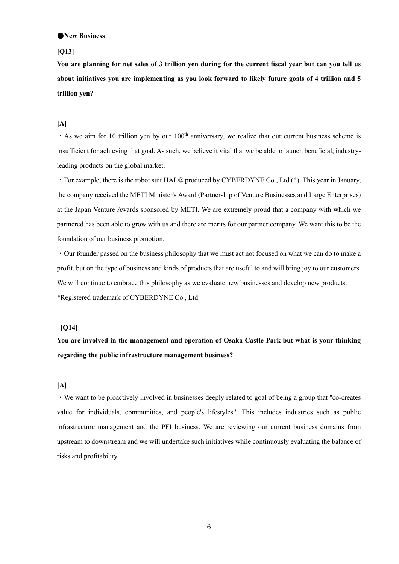#### ●**New Business**

## **[Q13]**

**You are planning for net sales of 3 trillion yen during for the current fiscal year but can you tell us about initiatives you are implementing as you look forward to likely future goals of 4 trillion and 5 trillion yen?** 

### **[A]**

 $\cdot$  As we aim for 10 trillion yen by our 100<sup>th</sup> anniversary, we realize that our current business scheme is insufficient for achieving that goal. As such, we believe it vital that we be able to launch beneficial, industryleading products on the global market.

・For example, there is the robot suit HAL® produced by CYBERDYNE Co., Ltd.(\*). This year in January, the company received the METI Minister's Award (Partnership of Venture Businesses and Large Enterprises) at the Japan Venture Awards sponsored by METI. We are extremely proud that a company with which we partnered has been able to grow with us and there are merits for our partner company. We want this to be the foundation of our business promotion.

・Our founder passed on the business philosophy that we must act not focused on what we can do to make a profit, but on the type of business and kinds of products that are useful to and will bring joy to our customers. We will continue to embrace this philosophy as we evaluate new businesses and develop new products. \*Registered trademark of CYBERDYNE Co., Ltd.

## **[Q14]**

**You are involved in the management and operation of Osaka Castle Park but what is your thinking regarding the public infrastructure management business?** 

### **[A]**

・We want to be proactively involved in businesses deeply related to goal of being a group that "co-creates value for individuals, communities, and people's lifestyles." This includes industries such as public infrastructure management and the PFI business. We are reviewing our current business domains from upstream to downstream and we will undertake such initiatives while continuously evaluating the balance of risks and profitability.